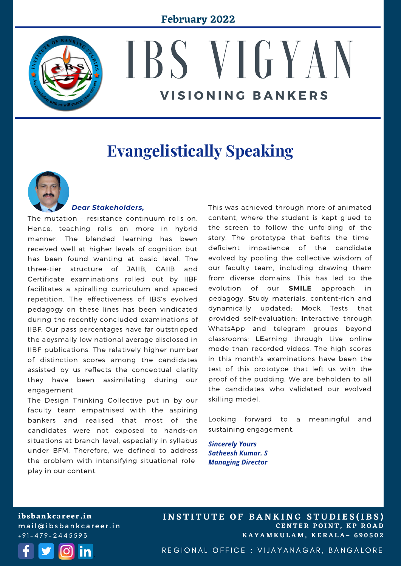

# IBS VIGYAN **V I S I O N I N G B A N K E R S**

# **Evangelistically Speaking**



#### *Dear Stakeholders,*

The mutation – resistance continuum rolls on. Hence, teaching rolls on more in hybrid manner. The blended learning has been received well at higher levels of cognition but has been found wanting at basic level. The three-tier structure of JAIIB, CAIIB and Certificate examinations rolled out by IIBF facilitates a spiralling curriculum and spaced repetition. The effectiveness of IBS's evolved pedagogy on these lines has been vindicated during the recently concluded examinations of IIBF. Our pass percentages have far outstripped the abysmally low national average disclosed in IIBF publications. The relatively higher number of distinction scores among the candidates assisted by us reflects the conceptual clarity they have been assimilating during our engagement

The Design Thinking Collective put in by our faculty team empathised with the aspiring bankers and realised that most of the candidates were not exposed to hands-on situations at branch level, especially in syllabus under BFM. Therefore, we defined to address the problem with intensifying situational roleplay in our content.

This was achieved through more of animated content, where the student is kept glued to the screen to follow the unfolding of the story. The prototype that befits the timedeficient impatience of the candidate evolved by pooling the collective wisdom of our faculty team, including drawing them from diverse domains. This has led to the evolution of our **SMILE** approach in pedagogy. **S**tudy materials, content-rich and dynamically updated; **M**ock Tests that provided self-evaluation; **I**nteractive through WhatsApp and telegram groups beyond classrooms; **LE**arning through Live online mode than recorded videos. The high scores in this month's examinations have been the test of this prototype that left us with the proof of the pudding. We are beholden to all the candidates who validated our evolved skilling model.

Looking forward to a meaningful and sustaining engagement.

*Sincerely Yours Satheesh Kumar. S Managing Director*

**ibsbankcareer.in** mail@ibsbankcareer.in  $+91 - 479 - 2445593$ 



**C E N T E R P O I N T , K P R O A D K A Y A M K U L A M , K E R A L A – 6 9 0 5 0 2 INSTITUTE OF BANKING STUDIES(IBS)** 

REGIONAL OFFICE : VIJAYANAGAR, BANGALORE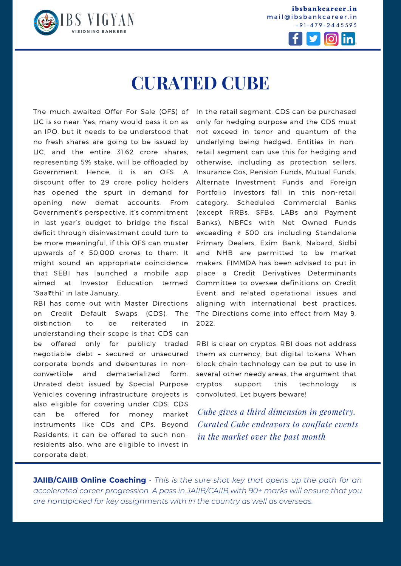

**ibsbankcareer.in** mail@ibsbankcareer.in + 9 1 - 4 7 9 - 2 4 4 5 5 9 3



# **CURATED CUBE**

The much-awaited Offer For Sale (OFS) of LIC is so near. Yes, many would pass it on as an IPO, but it needs to be understood that no fresh shares are going to be issued by LIC, and the entire 31.62 crore shares, representing 5% stake, will be offloaded by Government. Hence, it is an OFS. A discount offer to 29 crore policy holders has opened the spurt in demand for opening new demat accounts. From Government's perspective, it's commitment in last year's budget to bridge the fiscal deficit through disinvestment could turn to be more meaningful, if this OFS can muster upwards of ₹ 50,000 crores to them. It might sound an appropriate coincidence that SEBI has launched a mobile app aimed at Investor Education termed "Saa₹thi" in late January.

RBI has come out with Master Directions on Credit Default Swaps (CDS). The distinction to be reiterated in understanding their scope is that CDS can be offered only for publicly traded negotiable debt – secured or unsecured corporate bonds and debentures in nonconvertible and dematerialized form. Unrated debt issued by Special Purpose Vehicles covering infrastructure projects is also eligible for covering under CDS. CDS can be offered for money market instruments like CDs and CPs. Beyond Residents, it can be offered to such nonresidents also, who are eligible to invest in corporate debt.

In the retail segment, CDS can be purchased only for hedging purpose and the CDS must not exceed in tenor and quantum of the underlying being hedged. Entities in nonretail segment can use this for hedging and otherwise, including as protection sellers. Insurance Cos, Pension Funds, Mutual Funds, Alternate Investment Funds and Foreign Portfolio Investors fall in this non-retail category. Scheduled Commercial Banks (except RRBs, SFBs, LABs and Payment Banks), NBFCs with Net Owned Funds exceeding ₹ 500 crs including Standalone Primary Dealers, Exim Bank, Nabard, Sidbi and NHB are permitted to be market makers. FIMMDA has been advised to put in place a Credit Derivatives Determinants Committee to oversee definitions on Credit Event and related operational issues and aligning with international best practices. The Directions come into effect from May 9, 2022.

RBI is clear on cryptos. RBI does not address them as currency, but digital tokens. When block chain technology can be put to use in several other needy areas, the argument that cryptos support this technology is convoluted. Let buyers beware!

*Cube gives a third dimension in geometry. Curated Cube endeavors to conflate events in the market over the past month*

**I N S T I T U T E O F B A N K I N G S T U D I E S (I B S )**

**JAIIB/CAIIB Online Coaching** - *This is the sure shot key that opens up the path for an accelerated career progression. A pass in [JAIIB/CAIIB](https://ibsbankcareer.in/course/) with 90+ marks will ensure that you are handpicked for key assignments with in the country as well as overseas.*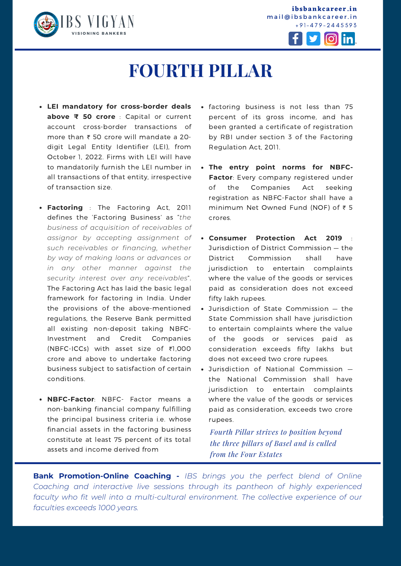

**ibsbankcareer.in** mail@ibsbankcareer.in + 9 1 - 4 7 9 - 2 4 4 5 5 9 3



# **FOURTH PILLAR**

- **LEI mandatory for cross-border deals above ₹ 50 crore** : Capital or current account cross-border transactions of more than ₹ 50 crore will mandate a 20 digit Legal Entity Identifier (LEI), from October 1, 2022. Firms with LEI will have to mandatorily furnish the LEI number in all transactions of that entity, irrespective of transaction size.
- **Factoring** : The Factoring Act, 2011 defines the 'Factoring Business' as "*the business of acquisition of receivables of assignor by accepting assignment of such receivables or financing, whether by way of making loans or advances or in any other manner against the security interest over any receivables*". The Factoring Act has laid the basic legal framework for factoring in India. Under the provisions of the above-mentioned regulations, the Reserve Bank permitted all existing non-deposit taking NBFC-Investment and Credit Companies (NBFC-ICCs) with asset size of ₹1,000 crore and above to undertake factoring business subject to satisfaction of certain conditions.
- **NBFC-Factor**: NBFC- Factor means a non-banking financial company fulfilling the principal business criteria i.e. whose financial assets in the factoring business constitute at least 75 percent of its total assets and income derived from
- factoring business is not less than 75 percent of its gross income, and has been granted a certificate of registration by RBI under section 3 of the Factoring Regulation Act, 2011.
- **The entry point norms for NBFC-Factor**: Every company registered under of the Companies Act seeking registration as NBFC-Factor shall have a minimum Net Owned Fund (NOF) of ₹ 5 crores.
- **Consumer Protection Act 2019** : Jurisdiction of District Commission — the District Commission shall have jurisdiction to entertain complaints where the value of the goods or services paid as consideration does not exceed fifty lakh rupees.
- Jurisdiction of State Commission the State Commission shall have jurisdiction to entertain complaints where the value of the goods or services paid as consideration exceeds fifty lakhs but does not exceed two crore rupees.
- Jurisdiction of National Commission the National Commission shall have jurisdiction to entertain complaints where the value of the goods or services paid as consideration, exceeds two crore rupees.

*Fourth Pillar strives to position beyond the three pillars of Basel and is culled from the Four Estates*

the contract of the contract of the contract of the contract of the contract of

**Bank Promotion-Online Coaching -** *IBS brings you the perfect blend of Online Coaching and interactive live sessions through its pantheon of highly experienced faculty who fit well into a multi-cultural environment. The collective experience of our faculties exceeds 1000 years.*